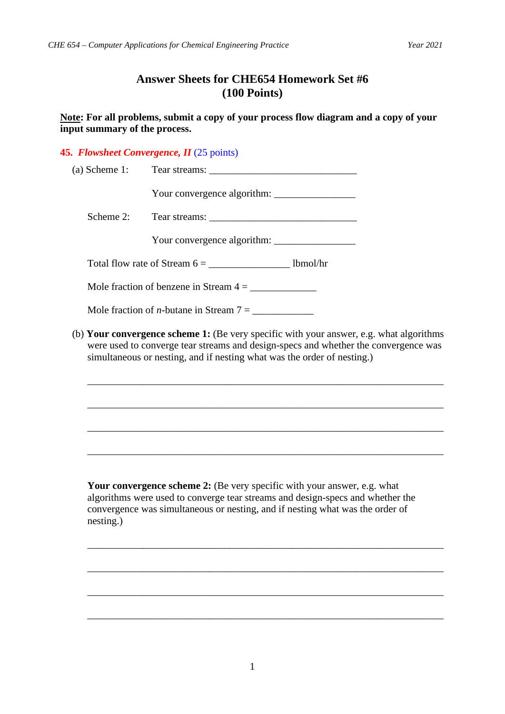## **Answer Sheets for CHE654 Homework Set #6 (100 Points)**

**Note: For all problems, submit a copy of your process flow diagram and a copy of your input summary of the process.**

## **45.** *Flowsheet Convergence, II* (25 points)

| $(a)$ Scheme 1: |                                                                                                                                                                                                                                                           |
|-----------------|-----------------------------------------------------------------------------------------------------------------------------------------------------------------------------------------------------------------------------------------------------------|
|                 |                                                                                                                                                                                                                                                           |
| Scheme 2:       |                                                                                                                                                                                                                                                           |
|                 |                                                                                                                                                                                                                                                           |
|                 | Total flow rate of Stream $6 = \_$ lbmol/hr                                                                                                                                                                                                               |
|                 |                                                                                                                                                                                                                                                           |
|                 | Mole fraction of <i>n</i> -butane in Stream $7 = \_$                                                                                                                                                                                                      |
|                 | (b) Your convergence scheme 1: (Be very specific with your answer, e.g. what algorithms<br>were used to converge tear streams and design-specs and whether the convergence was<br>simultaneous or nesting, and if nesting what was the order of nesting.) |
|                 |                                                                                                                                                                                                                                                           |
|                 | ,我们也不能在这里的时候,我们也不能在这里的时候,我们也不能会在这里的时候,我们也不能会在这里的时候,我们也不能会在这里的时候,我们也不能会在这里的时候,我们也不                                                                                                                                                                         |
|                 | ,我们也不能在这里的时候,我们也不能在这里的时候,我们也不能会在这里的时候,我们也不能会在这里的时候,我们也不能会在这里的时候,我们也不能会在这里的时候,我们也不                                                                                                                                                                         |
|                 |                                                                                                                                                                                                                                                           |
|                 | Your convergence scheme 2: (Be very specific with your answer, e.g. what<br>the contract of the contract of the contract of the contract of the contract of the contract of the contract of                                                               |

algorithms were used to converge tear streams and design-specs and whether the convergence was simultaneous or nesting, and if nesting what was the order of nesting.)

\_\_\_\_\_\_\_\_\_\_\_\_\_\_\_\_\_\_\_\_\_\_\_\_\_\_\_\_\_\_\_\_\_\_\_\_\_\_\_\_\_\_\_\_\_\_\_\_\_\_\_\_\_\_\_\_\_\_\_\_\_\_\_\_\_\_\_\_\_\_

\_\_\_\_\_\_\_\_\_\_\_\_\_\_\_\_\_\_\_\_\_\_\_\_\_\_\_\_\_\_\_\_\_\_\_\_\_\_\_\_\_\_\_\_\_\_\_\_\_\_\_\_\_\_\_\_\_\_\_\_\_\_\_\_\_\_\_\_\_\_

\_\_\_\_\_\_\_\_\_\_\_\_\_\_\_\_\_\_\_\_\_\_\_\_\_\_\_\_\_\_\_\_\_\_\_\_\_\_\_\_\_\_\_\_\_\_\_\_\_\_\_\_\_\_\_\_\_\_\_\_\_\_\_\_\_\_\_\_\_\_

\_\_\_\_\_\_\_\_\_\_\_\_\_\_\_\_\_\_\_\_\_\_\_\_\_\_\_\_\_\_\_\_\_\_\_\_\_\_\_\_\_\_\_\_\_\_\_\_\_\_\_\_\_\_\_\_\_\_\_\_\_\_\_\_\_\_\_\_\_\_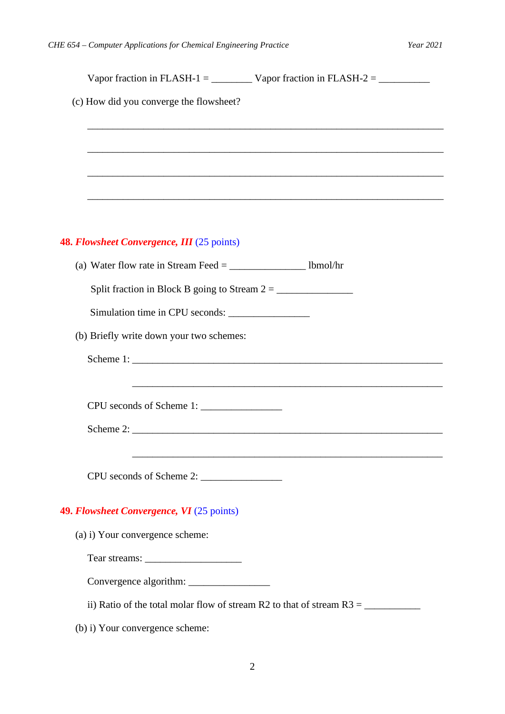| (c) How did you converge the flowsheet?    |                                                                                   |
|--------------------------------------------|-----------------------------------------------------------------------------------|
|                                            |                                                                                   |
|                                            |                                                                                   |
|                                            | ,我们也不能在这里的时候,我们也不能在这里的时候,我们也不能会在这里的时候,我们也不能会在这里的时候,我们也不能会在这里的时候,我们也不能会在这里的时候,我们也不 |
|                                            |                                                                                   |
|                                            |                                                                                   |
| 48. Flowsheet Convergence, III (25 points) |                                                                                   |
|                                            |                                                                                   |
|                                            |                                                                                   |
| Simulation time in CPU seconds:            |                                                                                   |
| (b) Briefly write down your two schemes:   |                                                                                   |
|                                            |                                                                                   |
|                                            |                                                                                   |
|                                            |                                                                                   |
|                                            |                                                                                   |
|                                            |                                                                                   |
|                                            |                                                                                   |
|                                            |                                                                                   |
| 49. Flowsheet Convergence, VI (25 points)  |                                                                                   |
| (a) i) Your convergence scheme:            |                                                                                   |
|                                            |                                                                                   |
|                                            |                                                                                   |
|                                            | ii) Ratio of the total molar flow of stream R2 to that of stream $R3 =$           |
| (b) i) Your convergence scheme:            |                                                                                   |

2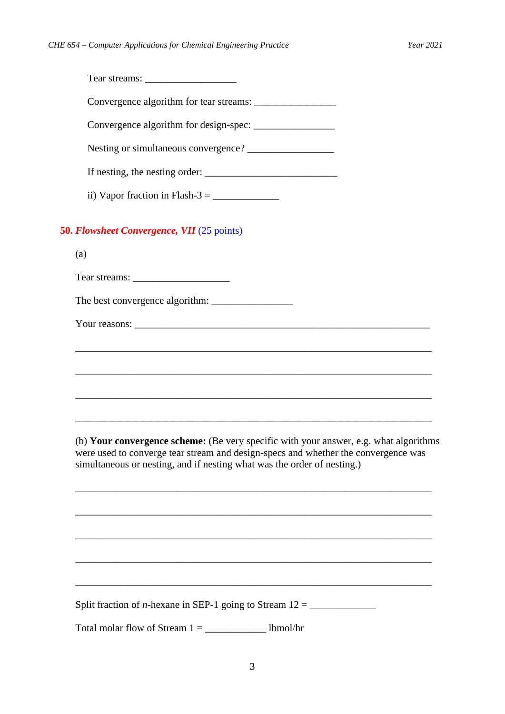| ii) Vapor fraction in Flash-3 = $\frac{\ }{\ }$                                   |  |  |
|-----------------------------------------------------------------------------------|--|--|
| <b>50. Flowsheet Convergence, VII</b> (25 points)                                 |  |  |
| (a)                                                                               |  |  |
|                                                                                   |  |  |
|                                                                                   |  |  |
|                                                                                   |  |  |
| ,我们也不能在这里的人,我们也不能在这里的人,我们也不能在这里的人,我们也不能在这里的人,我们也不能在这里的人,我们也不能在这里的人,我们也不能在这里的人,我们也 |  |  |
|                                                                                   |  |  |
|                                                                                   |  |  |
|                                                                                   |  |  |

(b) **Your convergence scheme:** (Be very specific with your answer, e.g. what algorithms were used to converge tear stream and design-specs and whether the convergence was simultaneous or nesting, and if nesting what was the order of nesting.)

\_\_\_\_\_\_\_\_\_\_\_\_\_\_\_\_\_\_\_\_\_\_\_\_\_\_\_\_\_\_\_\_\_\_\_\_\_\_\_\_\_\_\_\_\_\_\_\_\_\_\_\_\_\_\_\_\_\_\_\_\_\_\_\_\_\_\_\_\_\_

\_\_\_\_\_\_\_\_\_\_\_\_\_\_\_\_\_\_\_\_\_\_\_\_\_\_\_\_\_\_\_\_\_\_\_\_\_\_\_\_\_\_\_\_\_\_\_\_\_\_\_\_\_\_\_\_\_\_\_\_\_\_\_\_\_\_\_\_\_\_

\_\_\_\_\_\_\_\_\_\_\_\_\_\_\_\_\_\_\_\_\_\_\_\_\_\_\_\_\_\_\_\_\_\_\_\_\_\_\_\_\_\_\_\_\_\_\_\_\_\_\_\_\_\_\_\_\_\_\_\_\_\_\_\_\_\_\_\_\_\_

\_\_\_\_\_\_\_\_\_\_\_\_\_\_\_\_\_\_\_\_\_\_\_\_\_\_\_\_\_\_\_\_\_\_\_\_\_\_\_\_\_\_\_\_\_\_\_\_\_\_\_\_\_\_\_\_\_\_\_\_\_\_\_\_\_\_\_\_\_\_

\_\_\_\_\_\_\_\_\_\_\_\_\_\_\_\_\_\_\_\_\_\_\_\_\_\_\_\_\_\_\_\_\_\_\_\_\_\_\_\_\_\_\_\_\_\_\_\_\_\_\_\_\_\_\_\_\_\_\_\_\_\_\_\_\_\_\_\_\_\_

Split fraction of *n*-hexane in SEP-1 going to Stream  $12 =$ 

Total molar flow of Stream  $1 = \underline{\hspace{2cm}}$  lbmol/hr